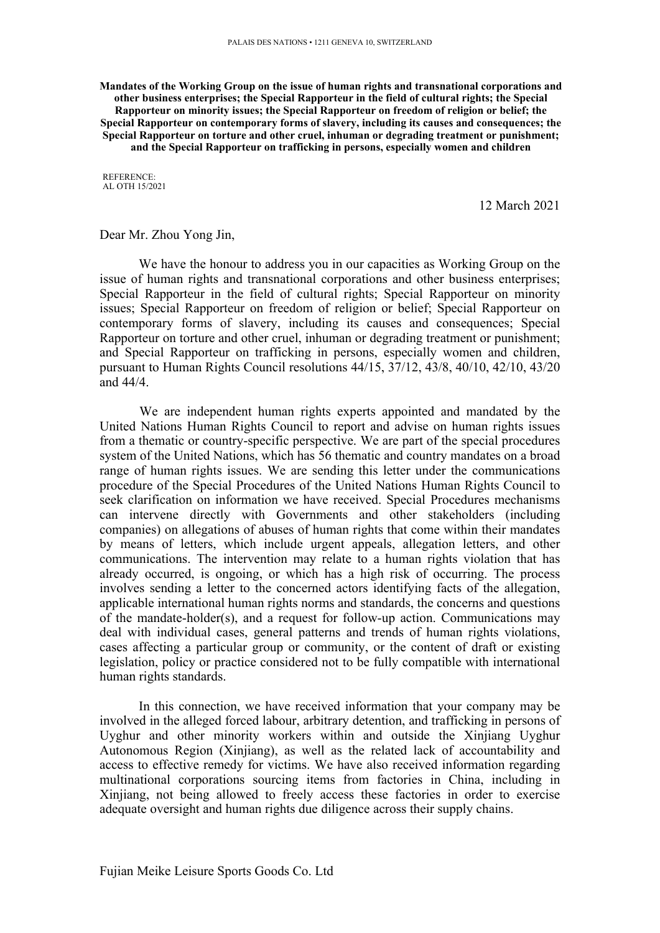**Mandates of the Working Group on the issue of human rights and transnational corporations and other business enterprises; the Special Rapporteur in the field of cultural rights; the Special Rapporteur on minority issues; the Special Rapporteur on freedom of religion or belief; the Special Rapporteur on contemporary forms of slavery, including its causes and consequences; the Special Rapporteur on torture and other cruel, inhuman or degrading treatment or punishment; and the Special Rapporteur on trafficking in persons, especially women and children**

REFERENCE: AL OTH 15/2021

12 March 2021

Dear Mr. Zhou Yong Jin,

We have the honour to address you in our capacities as Working Group on the issue of human rights and transnational corporations and other business enterprises; Special Rapporteur in the field of cultural rights; Special Rapporteur on minority issues; Special Rapporteur on freedom of religion or belief; Special Rapporteur on contemporary forms of slavery, including its causes and consequences; Special Rapporteur on torture and other cruel, inhuman or degrading treatment or punishment; and Special Rapporteur on trafficking in persons, especially women and children, pursuan<sup>t</sup> to Human Rights Council resolutions 44/15, 37/12, 43/8, 40/10, 42/10, 43/20 and 44/4.

We are independent human rights experts appointed and mandated by the United Nations Human Rights Council to repor<sup>t</sup> and advise on human rights issues from <sup>a</sup> thematic or country-specific perspective. We are par<sup>t</sup> of the special procedures system of the United Nations, which has 56 thematic and country mandates on <sup>a</sup> broad range of human rights issues. We are sending this letter under the communications procedure of the Special Procedures of the United Nations Human Rights Council to seek clarification on information we have received. Special Procedures mechanisms can intervene directly with Governments and other stakeholders (including companies) on allegations of abuses of human rights that come within their mandates by means of letters, which include urgen<sup>t</sup> appeals, allegation letters, and other communications. The intervention may relate to <sup>a</sup> human rights violation that has already occurred, is ongoing, or which has <sup>a</sup> high risk of occurring. The process involves sending <sup>a</sup> letter to the concerned actors identifying facts of the allegation, applicable international human rights norms and standards, the concerns and questions of the mandate-holder(s), and <sup>a</sup> reques<sup>t</sup> for follow-up action. Communications may deal with individual cases, general patterns and trends of human rights violations, cases affecting <sup>a</sup> particular group or community, or the content of draft or existing legislation, policy or practice considered not to be fully compatible with international human rights standards.

In this connection, we have received information that your company may be involved in the alleged forced labour, arbitrary detention, and trafficking in persons of Uyghur and other minority workers within and outside the Xinjiang Uyghur Autonomous Region (Xinjiang), as well as the related lack of accountability and access to effective remedy for victims. We have also received information regarding multinational corporations sourcing items from factories in China, including in Xinjiang, not being allowed to freely access these factories in order to exercise adequate oversight and human rights due diligence across their supply chains.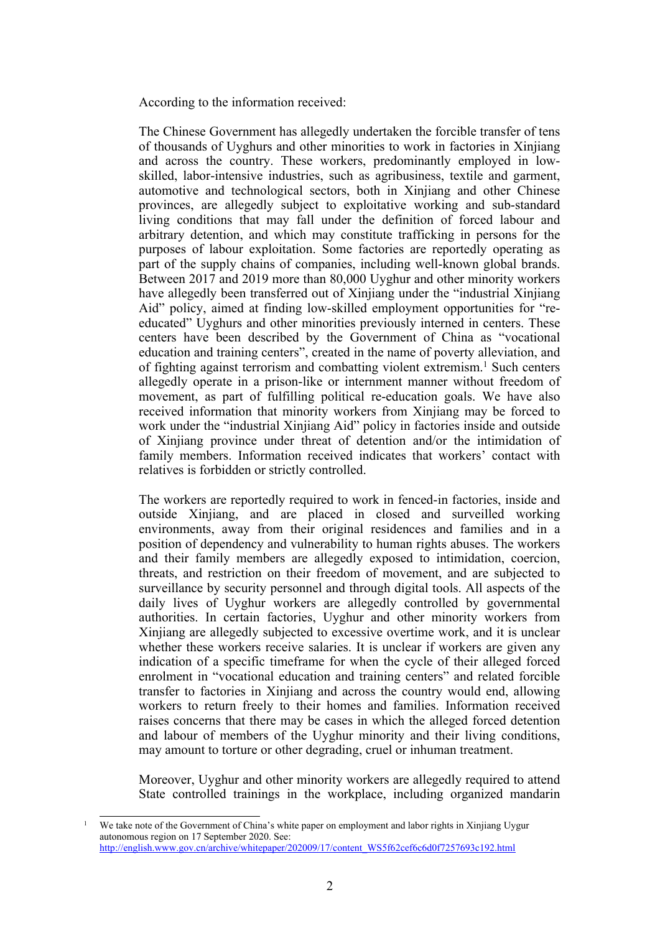According to the information received:

The Chinese Government has allegedly undertaken the forcible transfer of tens of thousands of Uyghurs and other minorities to work in factories in Xinjiang and across the country. These workers, predominantly employed in lowskilled, labor-intensive industries, such as agribusiness, textile and garment, automotive and technological sectors, both in Xinjiang and other Chinese provinces, are allegedly subject to exploitative working and sub-standard living conditions that may fall under the definition of forced labour and arbitrary detention, and which may constitute trafficking in persons for the purposes of labour exploitation. Some factories are reportedly operating as par<sup>t</sup> of the supply chains of companies, including well-known global brands. Between 2017 and 2019 more than 80,000 Uyghur and other minority workers have allegedly been transferred out of Xinjiang under the "industrial Xinjiang Aid" policy, aimed at finding low-skilled employment opportunities for "reeducated" Uyghurs and other minorities previously interned in centers. These centers have been described by the Government of China as "vocational education and training centers", created in the name of poverty alleviation, and of fighting against terrorism and combatting violent extremism. 1 Such centers allegedly operate in <sup>a</sup> prison-like or internment manner without freedom of movement, as par<sup>t</sup> of fulfilling political re-education goals. We have also received information that minority workers from Xinjiang may be forced to work under the "industrial Xinjiang Aid" policy in factories inside and outside of Xinjiang province under threat of detention and/or the intimidation of family members. Information received indicates that workers' contact with relatives is forbidden or strictly controlled.

The workers are reportedly required to work in fenced-in factories, inside and outside Xinjiang, and are placed in closed and surveilled working environments, away from their original residences and families and in <sup>a</sup> position of dependency and vulnerability to human rights abuses. The workers and their family members are allegedly exposed to intimidation, coercion, threats, and restriction on their freedom of movement, and are subjected to surveillance by security personnel and through digital tools. All aspects of the daily lives of Uyghur workers are allegedly controlled by governmental authorities. In certain factories, Uyghur and other minority workers from Xinjiang are allegedly subjected to excessive overtime work, and it is unclear whether these workers receive salaries. It is unclear if workers are given any indication of <sup>a</sup> specific timeframe for when the cycle of their alleged forced enrolment in "vocational education and training centers" and related forcible transfer to factories in Xinjiang and across the country would end, allowing workers to return freely to their homes and families. Information received raises concerns that there may be cases in which the alleged forced detention and labour of members of the Uyghur minority and their living conditions, may amount to torture or other degrading, cruel or inhuman treatment.

Moreover, Uyghur and other minority workers are allegedly required to attend State controlled trainings in the workplace, including organized mandarin

<sup>&</sup>lt;sup>1</sup> We take note of the Government of China's white paper on employment and labor rights in Xinjiang Uygur autonomous region on 17 September 2020. See: [http://english.www.gov.cn/archive/whitepaper/202009/17/content\\_WS5f62cef6c6d0f7257693c192.html](http://english.www.gov.cn/archive/whitepaper/202009/17/content_WS5f62cef6c6d0f7257693c192.html)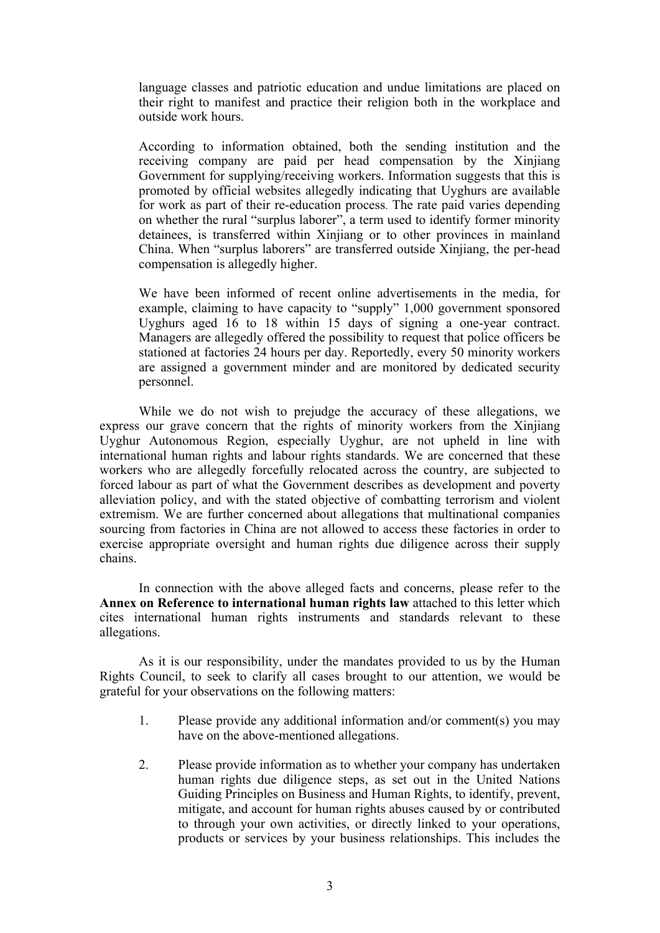language classes and patriotic education and undue limitations are placed on their right to manifest and practice their religion both in the workplace and outside work hours.

According to information obtained, both the sending institution and the receiving company are paid per head compensation by the Xinjiang Government for supplying/receiving workers. Information suggests that this is promoted by official websites allegedly indicating that Uyghurs are available for work as par<sup>t</sup> of their re-education process. The rate paid varies depending on whether the rural "surplus laborer", <sup>a</sup> term used to identify former minority detainees, is transferred within Xinjiang or to other provinces in mainland China. When "surplus laborers" are transferred outside Xinjiang, the per-head compensation is allegedly higher.

We have been informed of recent online advertisements in the media, for example, claiming to have capacity to "supply" 1,000 governmen<sup>t</sup> sponsored Uyghurs aged 16 to 18 within 15 days of signing <sup>a</sup> one-year contract. Managers are allegedly offered the possibility to reques<sup>t</sup> that police officers be stationed at factories 24 hours per day. Reportedly, every 50 minority workers are assigned <sup>a</sup> governmen<sup>t</sup> minder and are monitored by dedicated security personnel.

While we do not wish to prejudge the accuracy of these allegations, we express our grave concern that the rights of minority workers from the Xinjiang Uyghur Autonomous Region, especially Uyghur, are not upheld in line with international human rights and labour rights standards. We are concerned that these workers who are allegedly forcefully relocated across the country, are subjected to forced labour as par<sup>t</sup> of what the Government describes as development and poverty alleviation policy, and with the stated objective of combatting terrorism and violent extremism. We are further concerned about allegations that multinational companies sourcing from factories in China are not allowed to access these factories in order to exercise appropriate oversight and human rights due diligence across their supply chains.

In connection with the above alleged facts and concerns, please refer to the **Annex on Reference to international human rights law** attached to this letter which cites international human rights instruments and standards relevant to these allegations.

As it is our responsibility, under the mandates provided to us by the Human Rights Council, to seek to clarify all cases brought to our attention, we would be grateful for your observations on the following matters:

- 1. Please provide any additional information and/or comment(s) you may have on the above-mentioned allegations.
- 2. Please provide information as to whether your company has undertaken human rights due diligence steps, as set out in the United Nations Guiding Principles on Business and Human Rights, to identify, prevent, mitigate, and account for human rights abuses caused by or contributed to through your own activities, or directly linked to your operations, products or services by your business relationships. This includes the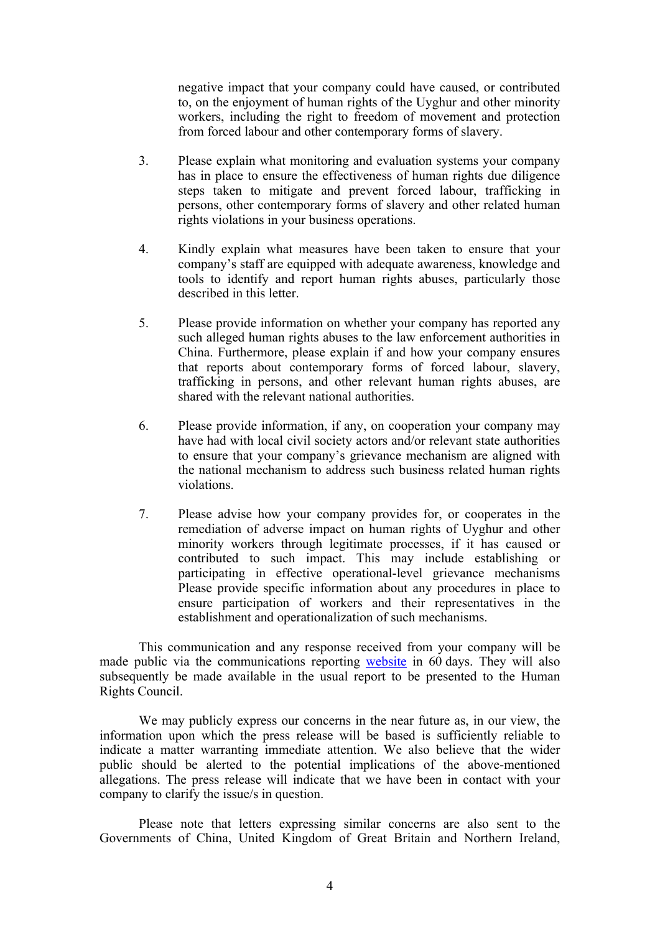negative impact that your company could have caused, or contributed to, on the enjoyment of human rights of the Uyghur and other minority workers, including the right to freedom of movement and protection from forced labour and other contemporary forms of slavery.

- 3. Please explain what monitoring and evaluation systems your company has in place to ensure the effectiveness of human rights due diligence steps taken to mitigate and preven<sup>t</sup> forced labour, trafficking in persons, other contemporary forms of slavery and other related human rights violations in your business operations.
- 4. Kindly explain what measures have been taken to ensure that your company'<sup>s</sup> staff are equipped with adequate awareness, knowledge and tools to identify and repor<sup>t</sup> human rights abuses, particularly those described in this letter.
- 5. Please provide information on whether your company has reported any such alleged human rights abuses to the law enforcement authorities in China. Furthermore, please explain if and how your company ensures that reports about contemporary forms of forced labour, slavery, trafficking in persons, and other relevant human rights abuses, are shared with the relevant national authorities.
- 6. Please provide information, if any, on cooperation your company may have had with local civil society actors and/or relevant state authorities to ensure that your company'<sup>s</sup> grievance mechanism are aligned with the national mechanism to address such business related human rights violations.
- 7. Please advise how your company provides for, or cooperates in the remediation of adverse impact on human rights of Uyghur and other minority workers through legitimate processes, if it has caused or contributed to such impact. This may include establishing or participating in effective operational-level grievance mechanisms Please provide specific information about any procedures in place to ensure participation of workers and their representatives in the establishment and operationalization of such mechanisms.

This communication and any response received from your company will be made public via the communications reporting [website](https://spcommreports.ohchr.org/) in 60 days. They will also subsequently be made available in the usual repor<sup>t</sup> to be presented to the Human Rights Council.

We may publicly express our concerns in the near future as, in our view, the information upon which the press release will be based is sufficiently reliable to indicate <sup>a</sup> matter warranting immediate attention. We also believe that the wider public should be alerted to the potential implications of the above-mentioned allegations. The press release will indicate that we have been in contact with your company to clarify the issue/s in question.

Please note that letters expressing similar concerns are also sent to the Governments of China, United Kingdom of Great Britain and Northern Ireland,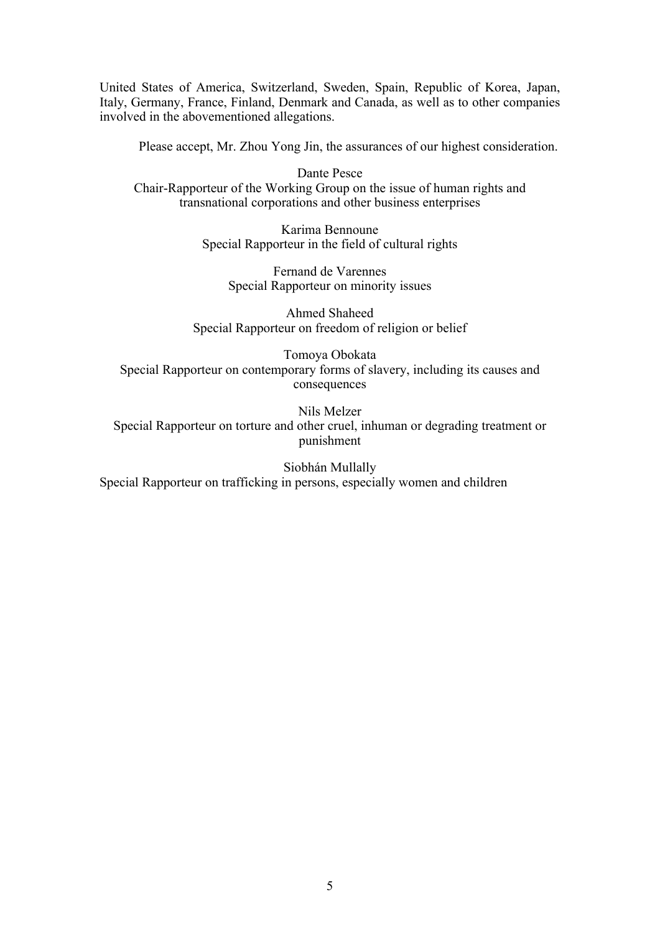United States of America, Switzerland, Sweden, Spain, Republic of Korea, Japan, Italy, Germany, France, Finland, Denmark and Canada, as well as to other companies involved in the abovementioned allegations.

Please accept, Mr. Zhou Yong Jin, the assurances of our highest consideration.

Dante Pesce Chair-Rapporteur of the Working Group on the issue of human rights and transnational corporations and other business enterprises

> Karima Bennoune Special Rapporteur in the field of cultural rights

Fernand de Varennes Special Rapporteur on minority issues

Ahmed Shaheed Special Rapporteur on freedom of religion or belief

Tomoya Obokata Special Rapporteur on contemporary forms of slavery, including its causes and consequences

Nils Melzer Special Rapporteur on torture and other cruel, inhuman or degrading treatment or punishment

Siobhán Mullally Special Rapporteur on trafficking in persons, especially women and children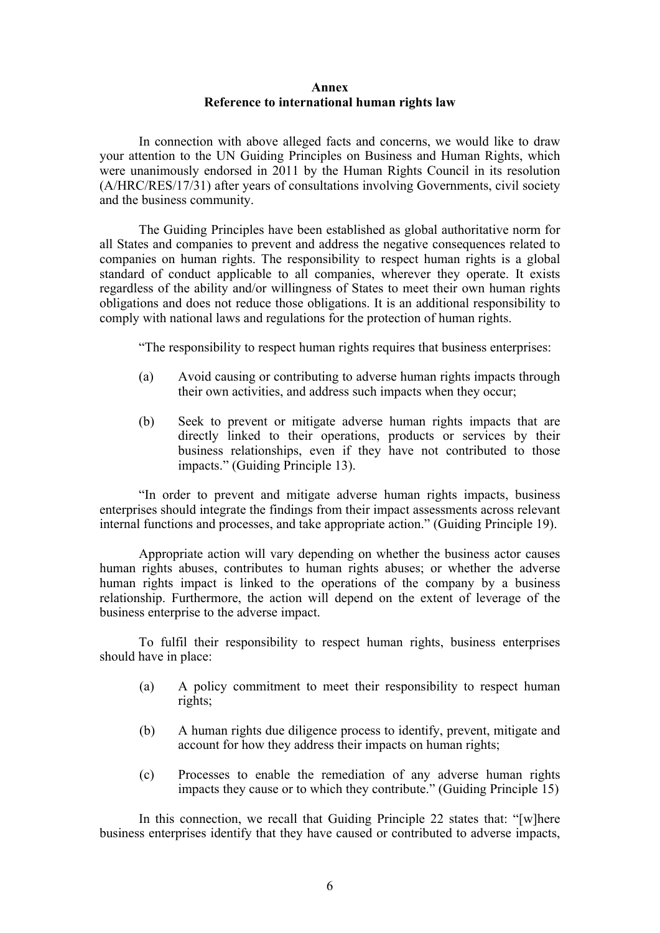## **Annex Reference to international human rights law**

In connection with above alleged facts and concerns, we would like to draw your attention to the UN Guiding Principles on Business and Human Rights, which were unanimously endorsed in 2011 by the Human Rights Council in its resolution (A/HRC/RES/17/31) after years of consultations involving Governments, civil society and the business community.

The Guiding Principles have been established as global authoritative norm for all States and companies to preven<sup>t</sup> and address the negative consequences related to companies on human rights. The responsibility to respec<sup>t</sup> human rights is <sup>a</sup> global standard of conduct applicable to all companies, wherever they operate. It exists regardless of the ability and/or willingness of States to meet their own human rights obligations and does not reduce those obligations. It is an additional responsibility to comply with national laws and regulations for the protection of human rights.

"The responsibility to respec<sup>t</sup> human rights requires that business enterprises:

- (a) Avoid causing or contributing to adverse human rights impacts through their own activities, and address such impacts when they occur;
- (b) Seek to preven<sup>t</sup> or mitigate adverse human rights impacts that are directly linked to their operations, products or services by their business relationships, even if they have not contributed to those impacts." (Guiding Principle 13).

"In order to preven<sup>t</sup> and mitigate adverse human rights impacts, business enterprises should integrate the findings from their impact assessments across relevant internal functions and processes, and take appropriate action." (Guiding Principle 19).

Appropriate action will vary depending on whether the business actor causes human rights abuses, contributes to human rights abuses; or whether the adverse human rights impact is linked to the operations of the company by <sup>a</sup> business relationship. Furthermore, the action will depend on the extent of leverage of the business enterprise to the adverse impact.

To fulfil their responsibility to respec<sup>t</sup> human rights, business enterprises should have in place:

- (a) A policy commitment to meet their responsibility to respec<sup>t</sup> human rights;
- (b) A human rights due diligence process to identify, prevent, mitigate and account for how they address their impacts on human rights;
- (c) Processes to enable the remediation of any adverse human rights impacts they cause or to which they contribute." (Guiding Principle 15)

In this connection, we recall that Guiding Principle 22 states that: "[w]here business enterprises identify that they have caused or contributed to adverse impacts,